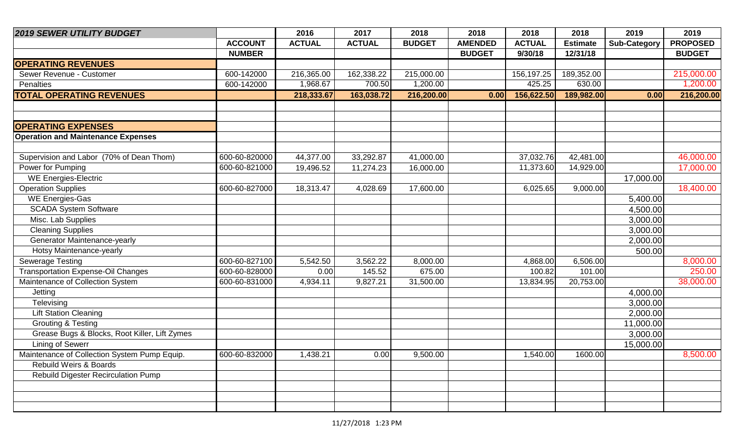| <b>2019 SEWER UTILITY BUDGET</b>              |                | 2016          | 2017          | 2018          | 2018           | 2018          | 2018            | 2019                | 2019            |
|-----------------------------------------------|----------------|---------------|---------------|---------------|----------------|---------------|-----------------|---------------------|-----------------|
|                                               | <b>ACCOUNT</b> | <b>ACTUAL</b> | <b>ACTUAL</b> | <b>BUDGET</b> | <b>AMENDED</b> | <b>ACTUAL</b> | <b>Estimate</b> | <b>Sub-Category</b> | <b>PROPOSED</b> |
|                                               | <b>NUMBER</b>  |               |               |               | <b>BUDGET</b>  | 9/30/18       | 12/31/18        |                     | <b>BUDGET</b>   |
| <b>OPERATING REVENUES</b>                     |                |               |               |               |                |               |                 |                     |                 |
| Sewer Revenue - Customer                      | 600-142000     | 216,365.00    | 162,338.22    | 215,000.00    |                | 156,197.25    | 189,352.00      |                     | 215,000.00      |
| Penalties                                     | 600-142000     | 1,968.67      | 700.50        | 1,200.00      |                | 425.25        | 630.00          |                     | 1,200.00        |
| <b>TOTAL OPERATING REVENUES</b>               |                | 218,333.67    | 163,038.72    | 216,200.00    | 0.00           | 156,622.50    | 189,982.00      | 0.00                | 216,200.00      |
|                                               |                |               |               |               |                |               |                 |                     |                 |
|                                               |                |               |               |               |                |               |                 |                     |                 |
| <b>OPERATING EXPENSES</b>                     |                |               |               |               |                |               |                 |                     |                 |
| <b>Operation and Maintenance Expenses</b>     |                |               |               |               |                |               |                 |                     |                 |
|                                               |                |               |               |               |                |               |                 |                     |                 |
| Supervision and Labor (70% of Dean Thom)      | 600-60-820000  | 44,377.00     | 33,292.87     | 41,000.00     |                | 37,032.76     | 42,481.00       |                     | 46,000.00       |
| Power for Pumping                             | 600-60-821000  | 19,496.52     | 11,274.23     | 16,000.00     |                | 11,373.60     | 14,929.00       |                     | 17,000.00       |
| <b>WE Energies-Electric</b>                   |                |               |               |               |                |               |                 | 17,000.00           |                 |
| <b>Operation Supplies</b>                     | 600-60-827000  | 18,313.47     | 4,028.69      | 17,600.00     |                | 6,025.65      | 9,000.00        |                     | 18,400.00       |
| <b>WE Energies-Gas</b>                        |                |               |               |               |                |               |                 | 5,400.00            |                 |
| <b>SCADA System Software</b>                  |                |               |               |               |                |               |                 | 4,500.00            |                 |
| Misc. Lab Supplies                            |                |               |               |               |                |               |                 | 3,000.00            |                 |
| <b>Cleaning Supplies</b>                      |                |               |               |               |                |               |                 | 3,000.00            |                 |
| Generator Maintenance-yearly                  |                |               |               |               |                |               |                 | 2,000.00            |                 |
| Hotsy Maintenance-yearly                      |                |               |               |               |                |               |                 | 500.00              |                 |
| <b>Sewerage Testing</b>                       | 600-60-827100  | 5,542.50      | 3,562.22      | 8,000.00      |                | 4,868.00      | 6,506.00        |                     | 8,000.00        |
| <b>Transportation Expense-Oil Changes</b>     | 600-60-828000  | 0.00          | 145.52        | 675.00        |                | 100.82        | 101.00          |                     | 250.00          |
| Maintenance of Collection System              | 600-60-831000  | 4,934.11      | 9,827.21      | 31,500.00     |                | 13,834.95     | 20,753.00       |                     | 38,000.00       |
| Jetting                                       |                |               |               |               |                |               |                 | 4,000.00            |                 |
| Televising                                    |                |               |               |               |                |               |                 | 3,000.00            |                 |
| <b>Lift Station Cleaning</b>                  |                |               |               |               |                |               |                 | 2,000.00            |                 |
| <b>Grouting &amp; Testing</b>                 |                |               |               |               |                |               |                 | 11,000.00           |                 |
| Grease Bugs & Blocks, Root Killer, Lift Zymes |                |               |               |               |                |               |                 | 3,000.00            |                 |
| <b>Lining of Sewerr</b>                       |                |               |               |               |                |               |                 | 15,000.00           |                 |
| Maintenance of Collection System Pump Equip.  | 600-60-832000  | 1,438.21      | 0.00          | 9,500.00      |                | 1,540.00      | 1600.00         |                     | 8,500.00        |
| <b>Rebuild Weirs &amp; Boards</b>             |                |               |               |               |                |               |                 |                     |                 |
| <b>Rebuild Digester Recirculation Pump</b>    |                |               |               |               |                |               |                 |                     |                 |
|                                               |                |               |               |               |                |               |                 |                     |                 |
|                                               |                |               |               |               |                |               |                 |                     |                 |
|                                               |                |               |               |               |                |               |                 |                     |                 |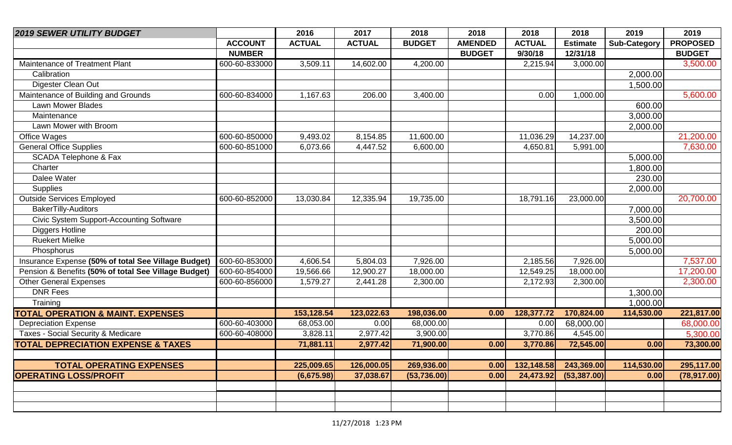| <b>2019 SEWER UTILITY BUDGET</b>                     |                | 2016          | 2017          | 2018          | 2018           | 2018          | 2018            | 2019                | 2019                  |
|------------------------------------------------------|----------------|---------------|---------------|---------------|----------------|---------------|-----------------|---------------------|-----------------------|
|                                                      | <b>ACCOUNT</b> | <b>ACTUAL</b> | <b>ACTUAL</b> | <b>BUDGET</b> | <b>AMENDED</b> | <b>ACTUAL</b> | <b>Estimate</b> | <b>Sub-Category</b> | <b>PROPOSED</b>       |
|                                                      | <b>NUMBER</b>  |               |               |               | <b>BUDGET</b>  | 9/30/18       | 12/31/18        |                     | <b>BUDGET</b>         |
| Maintenance of Treatment Plant                       | 600-60-833000  | 3,509.11      | 14,602.00     | 4,200.00      |                | 2,215.94      | 3,000.00        |                     | 3,500.00              |
| Calibration                                          |                |               |               |               |                |               |                 | 2,000.00            |                       |
| Digester Clean Out                                   |                |               |               |               |                |               |                 | 1,500.00            |                       |
| Maintenance of Building and Grounds                  | 600-60-834000  | 1,167.63      | 206.00        | 3,400.00      |                | 0.00          | 1,000.00        |                     | $\overline{5,600.00}$ |
| Lawn Mower Blades                                    |                |               |               |               |                |               |                 | 600.00              |                       |
| Maintenance                                          |                |               |               |               |                |               |                 | 3,000.00            |                       |
| Lawn Mower with Broom                                |                |               |               |               |                |               |                 | 2,000.00            |                       |
| Office Wages                                         | 600-60-850000  | 9,493.02      | 8,154.85      | 11,600.00     |                | 11,036.29     | 14,237.00       |                     | 21,200.00             |
| <b>General Office Supplies</b>                       | 600-60-851000  | 6,073.66      | 4,447.52      | 6,600.00      |                | 4,650.81      | 5,991.00        |                     | 7,630.00              |
| SCADA Telephone & Fax                                |                |               |               |               |                |               |                 | 5,000.00            |                       |
| Charter                                              |                |               |               |               |                |               |                 | 1,800.00            |                       |
| Dalee Water                                          |                |               |               |               |                |               |                 | 230.00              |                       |
| Supplies                                             |                |               |               |               |                |               |                 | 2,000.00            |                       |
| <b>Outside Services Employed</b>                     | 600-60-852000  | 13,030.84     | 12,335.94     | 19,735.00     |                | 18,791.16     | 23,000.00       |                     | 20,700.00             |
| <b>BakerTilly-Auditors</b>                           |                |               |               |               |                |               |                 | 7,000.00            |                       |
| <b>Civic System Support-Accounting Software</b>      |                |               |               |               |                |               |                 | 3,500.00            |                       |
| <b>Diggers Hotline</b>                               |                |               |               |               |                |               |                 | 200.00              |                       |
| <b>Ruekert Mielke</b>                                |                |               |               |               |                |               |                 | 5,000.00            |                       |
| Phosphorus                                           |                |               |               |               |                |               |                 | 5,000.00            |                       |
| Insurance Expense (50% of total See Village Budget)  | 600-60-853000  | 4,606.54      | 5,804.03      | 7,926.00      |                | 2,185.56      | 7,926.00        |                     | 7,537.00              |
| Pension & Benefits (50% of total See Village Budget) | 600-60-854000  | 19,566.66     | 12,900.27     | 18,000.00     |                | 12,549.25     | 18,000.00       |                     | 17,200.00             |
| <b>Other General Expenses</b>                        | 600-60-856000  | 1,579.27      | 2,441.28      | 2,300.00      |                | 2,172.93      | 2,300.00        |                     | 2,300.00              |
| <b>DNR Fees</b>                                      |                |               |               |               |                |               |                 | 1,300.00            |                       |
| Training                                             |                |               |               |               |                |               |                 | 1,000.00            |                       |
| <b>TOTAL OPERATION &amp; MAINT. EXPENSES</b>         |                | 153,128.54    | 123,022.63    | 198,036.00    | 0.00           | 128,377.72    | 170,824.00      | 114,530.00          | 221,817.00            |
| <b>Depreciation Expense</b>                          | 600-60-403000  | 68,053.00     | 0.00          | 68,000.00     |                | 0.00          | 68,000.00       |                     | 68,000.00             |
| Taxes - Social Security & Medicare                   | 600-60-408000  | 3,828.11      | 2,977.42      | 3,900.00      |                | 3,770.86      | 4,545.00        |                     | 5,300.00              |
| <b>TOTAL DEPRECIATION EXPENSE &amp; TAXES</b>        |                | 71,881.11     | 2,977.42      | 71,900.00     | 0.00           | 3,770.86      | 72,545.00       | 0.00                | 73,300.00             |
|                                                      |                |               |               |               |                |               |                 |                     |                       |
| <b>TOTAL OPERATING EXPENSES</b>                      |                | 225,009.65    | 126,000.05    | 269,936.00    | 0.00           | 132,148.58    | 243,369.00      | 114,530.00          | 295,117.00            |
| <b>OPERATING LOSS/PROFIT</b>                         |                | (6,675.98)    | 37,038.67     | (53, 736.00)  | 0.00           | 24,473.92     | (53, 387.00)    | 0.00                | (78, 917.00)          |
|                                                      |                |               |               |               |                |               |                 |                     |                       |
|                                                      |                |               |               |               |                |               |                 |                     |                       |
|                                                      |                |               |               |               |                |               |                 |                     |                       |